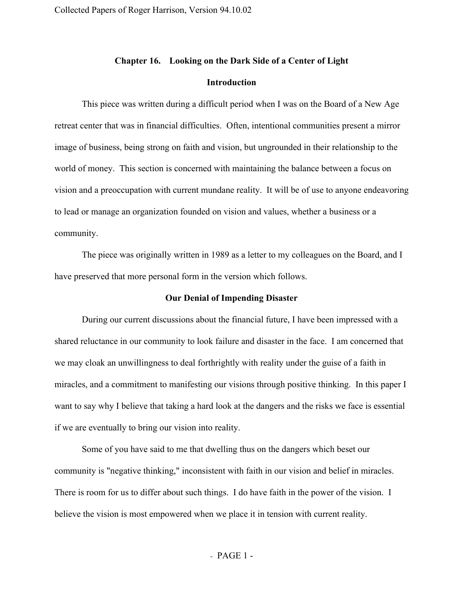### **Chapter 16. Looking on the Dark Side of a Center of Light**

## **Introduction**

This piece was written during a difficult period when I was on the Board of a New Age retreat center that was in financial difficulties. Often, intentional communities present a mirror image of business, being strong on faith and vision, but ungrounded in their relationship to the world of money. This section is concerned with maintaining the balance between a focus on vision and a preoccupation with current mundane reality. It will be of use to anyone endeavoring to lead or manage an organization founded on vision and values, whether a business or a community.

The piece was originally written in 1989 as a letter to my colleagues on the Board, and I have preserved that more personal form in the version which follows.

#### **Our Denial of Impending Disaster**

During our current discussions about the financial future, I have been impressed with a shared reluctance in our community to look failure and disaster in the face. I am concerned that we may cloak an unwillingness to deal forthrightly with reality under the guise of a faith in miracles, and a commitment to manifesting our visions through positive thinking. In this paper I want to say why I believe that taking a hard look at the dangers and the risks we face is essential if we are eventually to bring our vision into reality.

Some of you have said to me that dwelling thus on the dangers which beset our community is "negative thinking," inconsistent with faith in our vision and belief in miracles. There is room for us to differ about such things. I do have faith in the power of the vision. I believe the vision is most empowered when we place it in tension with current reality.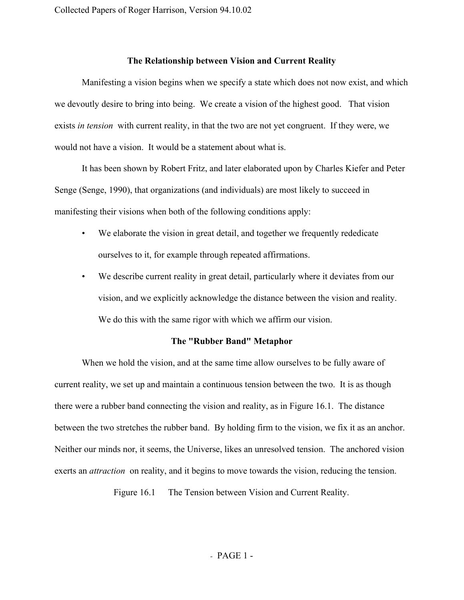# **The Relationship between Vision and Current Reality**

Manifesting a vision begins when we specify a state which does not now exist, and which we devoutly desire to bring into being. We create a vision of the highest good. That vision exists *in tension* with current reality, in that the two are not yet congruent. If they were, we would not have a vision. It would be a statement about what is.

It has been shown by Robert Fritz, and later elaborated upon by Charles Kiefer and Peter Senge (Senge, 1990), that organizations (and individuals) are most likely to succeed in manifesting their visions when both of the following conditions apply:

- We elaborate the vision in great detail, and together we frequently rededicate ourselves to it, for example through repeated affirmations.
- We describe current reality in great detail, particularly where it deviates from our vision, and we explicitly acknowledge the distance between the vision and reality. We do this with the same rigor with which we affirm our vision.

# **The "Rubber Band" Metaphor**

When we hold the vision, and at the same time allow ourselves to be fully aware of current reality, we set up and maintain a continuous tension between the two. It is as though there were a rubber band connecting the vision and reality, as in Figure 16.1. The distance between the two stretches the rubber band. By holding firm to the vision, we fix it as an anchor. Neither our minds nor, it seems, the Universe, likes an unresolved tension. The anchored vision exerts an *attraction* on reality, and it begins to move towards the vision, reducing the tension.

Figure 16.1 The Tension between Vision and Current Reality.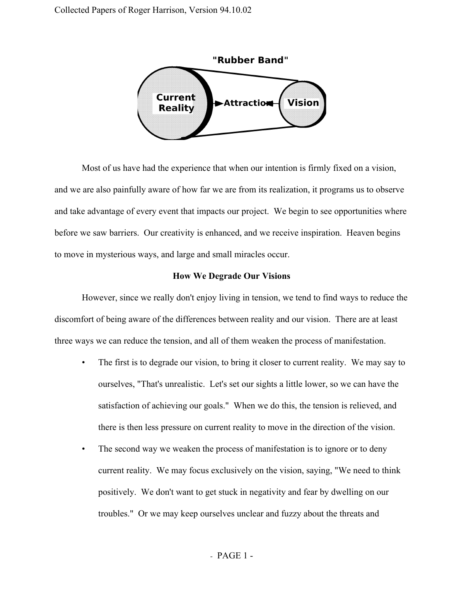

Most of us have had the experience that when our intention is firmly fixed on a vision, and we are also painfully aware of how far we are from its realization, it programs us to observe and take advantage of every event that impacts our project. We begin to see opportunities where before we saw barriers. Our creativity is enhanced, and we receive inspiration. Heaven begins to move in mysterious ways, and large and small miracles occur.

#### **How We Degrade Our Visions**

However, since we really don't enjoy living in tension, we tend to find ways to reduce the discomfort of being aware of the differences between reality and our vision. There are at least three ways we can reduce the tension, and all of them weaken the process of manifestation.

- The first is to degrade our vision, to bring it closer to current reality. We may say to ourselves, "That's unrealistic. Let's set our sights a little lower, so we can have the satisfaction of achieving our goals." When we do this, the tension is relieved, and there is then less pressure on current reality to move in the direction of the vision.
- The second way we weaken the process of manifestation is to ignore or to deny current reality. We may focus exclusively on the vision, saying, "We need to think positively. We don't want to get stuck in negativity and fear by dwelling on our troubles." Or we may keep ourselves unclear and fuzzy about the threats and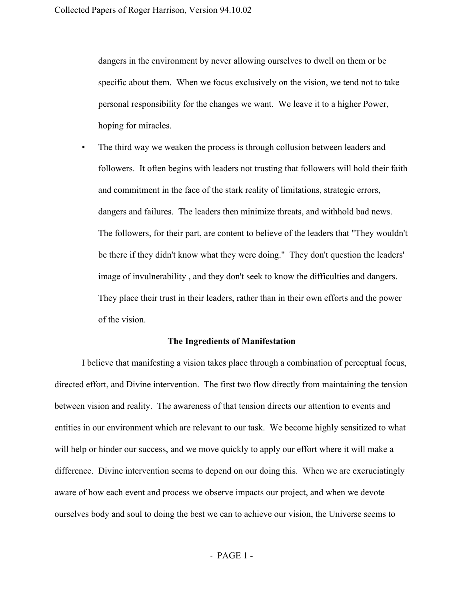dangers in the environment by never allowing ourselves to dwell on them or be specific about them. When we focus exclusively on the vision, we tend not to take personal responsibility for the changes we want. We leave it to a higher Power, hoping for miracles.

The third way we weaken the process is through collusion between leaders and followers. It often begins with leaders not trusting that followers will hold their faith and commitment in the face of the stark reality of limitations, strategic errors, dangers and failures. The leaders then minimize threats, and withhold bad news. The followers, for their part, are content to believe of the leaders that "They wouldn't be there if they didn't know what they were doing." They don't question the leaders' image of invulnerability , and they don't seek to know the difficulties and dangers. They place their trust in their leaders, rather than in their own efforts and the power of the vision.

## **The Ingredients of Manifestation**

I believe that manifesting a vision takes place through a combination of perceptual focus, directed effort, and Divine intervention. The first two flow directly from maintaining the tension between vision and reality. The awareness of that tension directs our attention to events and entities in our environment which are relevant to our task. We become highly sensitized to what will help or hinder our success, and we move quickly to apply our effort where it will make a difference. Divine intervention seems to depend on our doing this. When we are excruciatingly aware of how each event and process we observe impacts our project, and when we devote ourselves body and soul to doing the best we can to achieve our vision, the Universe seems to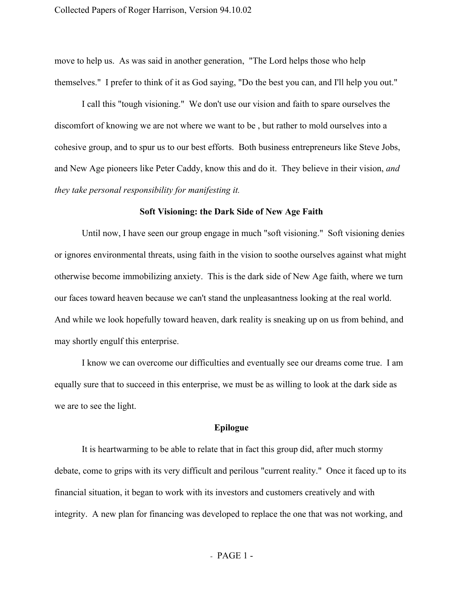move to help us. As was said in another generation, "The Lord helps those who help themselves." I prefer to think of it as God saying, "Do the best you can, and I'll help you out."

I call this "tough visioning." We don't use our vision and faith to spare ourselves the discomfort of knowing we are not where we want to be , but rather to mold ourselves into a cohesive group, and to spur us to our best efforts. Both business entrepreneurs like Steve Jobs, and New Age pioneers like Peter Caddy, know this and do it. They believe in their vision, *and they take personal responsibility for manifesting it.*

## **Soft Visioning: the Dark Side of New Age Faith**

Until now, I have seen our group engage in much "soft visioning." Soft visioning denies or ignores environmental threats, using faith in the vision to soothe ourselves against what might otherwise become immobilizing anxiety. This is the dark side of New Age faith, where we turn our faces toward heaven because we can't stand the unpleasantness looking at the real world. And while we look hopefully toward heaven, dark reality is sneaking up on us from behind, and may shortly engulf this enterprise.

I know we can overcome our difficulties and eventually see our dreams come true. I am equally sure that to succeed in this enterprise, we must be as willing to look at the dark side as we are to see the light.

# **Epilogue**

It is heartwarming to be able to relate that in fact this group did, after much stormy debate, come to grips with its very difficult and perilous "current reality." Once it faced up to its financial situation, it began to work with its investors and customers creatively and with integrity. A new plan for financing was developed to replace the one that was not working, and